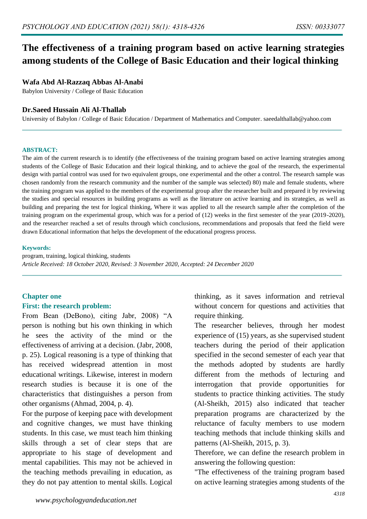# **The effectiveness of a training program based on active learning strategies among students of the College of Basic Education and their logical thinking**

## **Wafa Abd Al-Razzaq Abbas Al-Anabi**

Babylon University / College of Basic Education

#### **Dr.Saeed Hussain Ali Al-Thallab**

University of Babylon / College of Basic Education / Department of Mathematics and Computer. saeedalthallab@yahoo.com

#### **ABSTRACT:**

The aim of the current research is to identify (the effectiveness of the training program based on active learning strategies among students of the College of Basic Education and their logical thinking, and to achieve the goal of the research, the experimental design with partial control was used for two equivalent groups, one experimental and the other a control. The research sample was chosen randomly from the research community and the number of the sample was selected) 80) male and female students, where the training program was applied to the members of the experimental group after the researcher built and prepared it by reviewing the studies and special resources in building programs as well as the literature on active learning and its strategies, as well as building and preparing the test for logical thinking, Where it was applied to all the research sample after the completion of the training program on the experimental group, which was for a period of (12) weeks in the first semester of the year (2019-2020), and the researcher reached a set of results through which conclusions, recommendations and proposals that feed the field were drawn Educational information that helps the development of the educational progress process.

#### **Keywords:**

program, training, logical thinking, students *Article Received: 18 October 2020, Revised: 3 November 2020, Accepted: 24 December 2020*

## **Chapter one**

## **First: the research problem:**

From Bean (DeBono), citing Jabr, 2008) "A person is nothing but his own thinking in which he sees the activity of the mind or the effectiveness of arriving at a decision. (Jabr, 2008, p. 25). Logical reasoning is a type of thinking that has received widespread attention in most educational writings. Likewise, interest in modern research studies is because it is one of the characteristics that distinguishes a person from other organisms (Ahmad, 2004, p. 4).

For the purpose of keeping pace with development and cognitive changes, we must have thinking students. In this case, we must teach him thinking skills through a set of clear steps that are appropriate to his stage of development and mental capabilities. This may not be achieved in the teaching methods prevailing in education, as they do not pay attention to mental skills. Logical thinking, as it saves information and retrieval without concern for questions and activities that require thinking.

The researcher believes, through her modest experience of (15) years, as she supervised student teachers during the period of their application specified in the second semester of each year that the methods adopted by students are hardly different from the methods of lecturing and interrogation that provide opportunities for students to practice thinking activities. The study (Al-Sheikh, 2015) also indicated that teacher preparation programs are characterized by the reluctance of faculty members to use modern teaching methods that include thinking skills and patterns (Al-Sheikh, 2015, p. 3).

Therefore, we can define the research problem in answering the following question:

"The effectiveness of the training program based on active learning strategies among students of the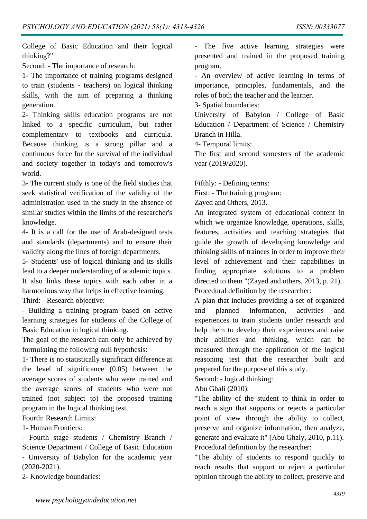College of Basic Education and their logical thinking?"

Second: - The importance of research:

1- The importance of training programs designed to train (students - teachers) on logical thinking skills, with the aim of preparing a thinking generation.

2- Thinking skills education programs are not linked to a specific curriculum, but rather complementary to textbooks and curricula. Because thinking is a strong pillar and a continuous force for the survival of the individual and society together in today's and tomorrow's world.

3- The current study is one of the field studies that seek statistical verification of the validity of the administration used in the study in the absence of similar studies within the limits of the researcher's knowledge.

4- It is a call for the use of Arab-designed tests and standards (departments) and to ensure their validity along the lines of foreign departments.

5- Students' use of logical thinking and its skills lead to a deeper understanding of academic topics. It also links these topics with each other in a harmonious way that helps in effective learning. Third: - Research objective:

- Building a training program based on active learning strategies for students of the College of Basic Education in logical thinking.

The goal of the research can only be achieved by formulating the following null hypothesis:

1- There is no statistically significant difference at the level of significance (0.05) between the average scores of students who were trained and the average scores of students who were not trained (not subject to) the proposed training program in the logical thinking test.

Fourth: Research Limits:

1- Human Frontiers:

- Fourth stage students / Chemistry Branch / Science Department / College of Basic Education - University of Babylon for the academic year (2020-2021).

2- Knowledge boundaries:

- The five active learning strategies were presented and trained in the proposed training program.

- An overview of active learning in terms of importance, principles, fundamentals, and the roles of both the teacher and the learner.

3- Spatial boundaries:

University of Babylon / College of Basic Education / Department of Science / Chemistry Branch in Hilla.

4- Temporal limits:

The first and second semesters of the academic year (2019/2020).

Fifthly: - Defining terms:

First: - The training program:

Zayed and Others, 2013.

An integrated system of educational content in which we organize knowledge, operations, skills, features, activities and teaching strategies that guide the growth of developing knowledge and thinking skills of trainees in order to improve their level of achievement and their capabilities in finding appropriate solutions to a problem directed to them "(Zayed and others, 2013, p. 21). Procedural definition by the researcher:

A plan that includes providing a set of organized and planned information, activities and experiences to train students under research and help them to develop their experiences and raise their abilities and thinking, which can be measured through the application of the logical reasoning test that the researcher built and prepared for the purpose of this study.

Second: - logical thinking:

Abu Ghali (2010).

"The ability of the student to think in order to reach a sign that supports or rejects a particular point of view through the ability to collect, preserve and organize information, then analyze, generate and evaluate it" (Abu Ghaly, 2010, p.11). Procedural definition by the researcher:

"The ability of students to respond quickly to reach results that support or reject a particular opinion through the ability to collect, preserve and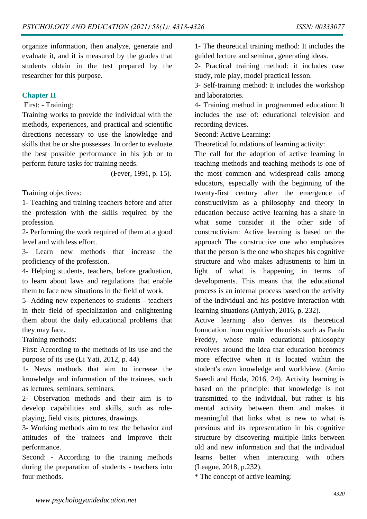organize information, then analyze, generate and evaluate it, and it is measured by the grades that students obtain in the test prepared by the researcher for this purpose.

# **Chapter II**

# First: - Training:

Training works to provide the individual with the methods, experiences, and practical and scientific directions necessary to use the knowledge and skills that he or she possesses. In order to evaluate the best possible performance in his job or to perform future tasks for training needs.

(Fever, 1991, p. 15).

Training objectives:

1- Teaching and training teachers before and after the profession with the skills required by the profession.

2- Performing the work required of them at a good level and with less effort.

3- Learn new methods that increase the proficiency of the profession.

4- Helping students, teachers, before graduation, to learn about laws and regulations that enable them to face new situations in the field of work.

5- Adding new experiences to students - teachers in their field of specialization and enlightening them about the daily educational problems that they may face.

Training methods:

First: According to the methods of its use and the purpose of its use (Li Yati, 2012, p. 44)

1- News methods that aim to increase the knowledge and information of the trainees, such as lectures, seminars, seminars.

2- Observation methods and their aim is to develop capabilities and skills, such as roleplaying, field visits, pictures, drawings.

3- Working methods aim to test the behavior and attitudes of the trainees and improve their performance.

Second: - According to the training methods during the preparation of students - teachers into four methods.

1- The theoretical training method: It includes the guided lecture and seminar, generating ideas.

2- Practical training method: it includes case study, role play, model practical lesson.

3- Self-training method: It includes the workshop and laboratories.

4- Training method in programmed education: It includes the use of: educational television and recording devices.

Second: Active Learning:

Theoretical foundations of learning activity:

The call for the adoption of active learning in teaching methods and teaching methods is one of the most common and widespread calls among educators, especially with the beginning of the twenty-first century after the emergence of constructivism as a philosophy and theory in education because active learning has a share in what some consider it the other side of constructivism: Active learning is based on the approach The constructive one who emphasizes that the person is the one who shapes his cognitive structure and who makes adjustments to him in light of what is happening in terms of developments. This means that the educational process is an internal process based on the activity of the individual and his positive interaction with learning situations (Attiyah, 2016, p. 232).

Active learning also derives its theoretical foundation from cognitive theorists such as Paolo Freddy, whose main educational philosophy revolves around the idea that education becomes more effective when it is located within the student's own knowledge and worldview. (Amio Saeedi and Hoda, 2016, 24). Activity learning is based on the principle: that knowledge is not transmitted to the individual, but rather is his mental activity between them and makes it meaningful that links what is new to what is previous and its representation in his cognitive structure by discovering multiple links between old and new information and that the individual learns better when interacting with others (League, 2018, p.232).

\* The concept of active learning: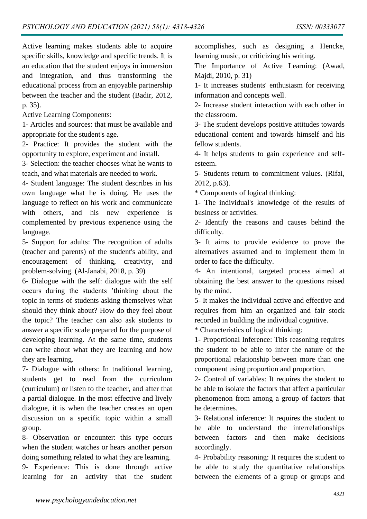Active learning makes students able to acquire specific skills, knowledge and specific trends. It is an education that the student enjoys in immersion and integration, and thus transforming the educational process from an enjoyable partnership between the teacher and the student (Badir, 2012, p. 35).

Active Learning Components:

1- Articles and sources: that must be available and appropriate for the student's age.

2- Practice: It provides the student with the opportunity to explore, experiment and install.

3- Selection: the teacher chooses what he wants to teach, and what materials are needed to work.

4- Student language: The student describes in his own language what he is doing. He uses the language to reflect on his work and communicate with others, and his new experience is complemented by previous experience using the language.

5- Support for adults: The recognition of adults (teacher and parents) of the student's ability, and encouragement of thinking, creativity, and problem-solving. (Al-Janabi, 2018, p. 39)

6- Dialogue with the self: dialogue with the self occurs during the students 'thinking about the topic in terms of students asking themselves what should they think about? How do they feel about the topic? The teacher can also ask students to answer a specific scale prepared for the purpose of developing learning. At the same time, students can write about what they are learning and how they are learning.

7- Dialogue with others: In traditional learning, students get to read from the curriculum (curriculum) or listen to the teacher, and after that a partial dialogue. In the most effective and lively dialogue, it is when the teacher creates an open discussion on a specific topic within a small group.

8- Observation or encounter: this type occurs when the student watches or hears another person doing something related to what they are learning.

9- Experience: This is done through active learning for an activity that the student accomplishes, such as designing a Hencke, learning music, or criticizing his writing.

The Importance of Active Learning: (Awad, Majdi, 2010, p. 31)

1- It increases students' enthusiasm for receiving information and concepts well.

2- Increase student interaction with each other in the classroom.

3- The student develops positive attitudes towards educational content and towards himself and his fellow students.

4- It helps students to gain experience and selfesteem.

5- Students return to commitment values. (Rifai, 2012, p.63).

\* Components of logical thinking:

1- The individual's knowledge of the results of business or activities.

2- Identify the reasons and causes behind the difficulty.

3- It aims to provide evidence to prove the alternatives assumed and to implement them in order to face the difficulty.

4- An intentional, targeted process aimed at obtaining the best answer to the questions raised by the mind.

5- It makes the individual active and effective and requires from him an organized and fair stock recorded in building the individual cognitive.

\* Characteristics of logical thinking:

1- Proportional Inference: This reasoning requires the student to be able to infer the nature of the proportional relationship between more than one component using proportion and proportion.

2- Control of variables: It requires the student to be able to isolate the factors that affect a particular phenomenon from among a group of factors that he determines.

3- Relational inference: It requires the student to be able to understand the interrelationships between factors and then make decisions accordingly.

4- Probability reasoning: It requires the student to be able to study the quantitative relationships between the elements of a group or groups and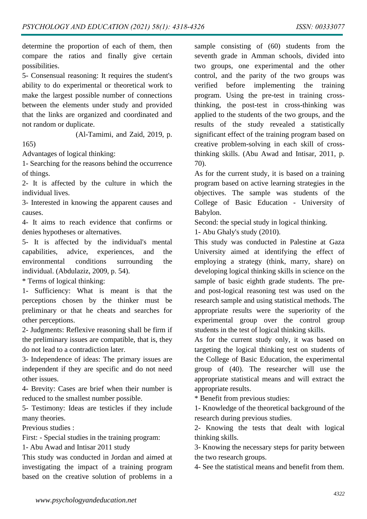determine the proportion of each of them, then compare the ratios and finally give certain possibilities.

5- Consensual reasoning: It requires the student's ability to do experimental or theoretical work to make the largest possible number of connections between the elements under study and provided that the links are organized and coordinated and not random or duplicate.

(Al-Tamimi, and Zaid, 2019, p.

165)

Advantages of logical thinking:

1- Searching for the reasons behind the occurrence of things.

2- It is affected by the culture in which the individual lives.

3- Interested in knowing the apparent causes and causes.

4- It aims to reach evidence that confirms or denies hypotheses or alternatives.

5- It is affected by the individual's mental capabilities, advice, experiences, and the environmental conditions surrounding the individual. (Abdulaziz, 2009, p. 54).

\* Terms of logical thinking:

1- Sufficiency: What is meant is that the perceptions chosen by the thinker must be preliminary or that he cheats and searches for other perceptions.

2- Judgments: Reflexive reasoning shall be firm if the preliminary issues are compatible, that is, they do not lead to a contradiction later.

3- Independence of ideas: The primary issues are independent if they are specific and do not need other issues.

4- Brevity: Cases are brief when their number is reduced to the smallest number possible.

5- Testimony: Ideas are testicles if they include many theories.

Previous studies :

First: - Special studies in the training program:

1- Abu Awad and Intisar 2011 study

This study was conducted in Jordan and aimed at investigating the impact of a training program based on the creative solution of problems in a

sample consisting of (60) students from the seventh grade in Amman schools, divided into two groups, one experimental and the other control, and the parity of the two groups was verified before implementing the training program. Using the pre-test in training crossthinking, the post-test in cross-thinking was applied to the students of the two groups, and the results of the study revealed a statistically significant effect of the training program based on creative problem-solving in each skill of crossthinking skills. (Abu Awad and Intisar, 2011, p. 70).

As for the current study, it is based on a training program based on active learning strategies in the objectives. The sample was students of the College of Basic Education - University of Babylon.

Second: the special study in logical thinking.

1- Abu Ghaly's study (2010).

This study was conducted in Palestine at Gaza University aimed at identifying the effect of employing a strategy (think, marry, share) on developing logical thinking skills in science on the sample of basic eighth grade students. The preand post-logical reasoning test was used on the research sample and using statistical methods. The appropriate results were the superiority of the experimental group over the control group students in the test of logical thinking skills.

As for the current study only, it was based on targeting the logical thinking test on students of the College of Basic Education, the experimental group of (40). The researcher will use the appropriate statistical means and will extract the appropriate results.

\* Benefit from previous studies:

1- Knowledge of the theoretical background of the research during previous studies.

2- Knowing the tests that dealt with logical thinking skills.

3- Knowing the necessary steps for parity between the two research groups.

4- See the statistical means and benefit from them.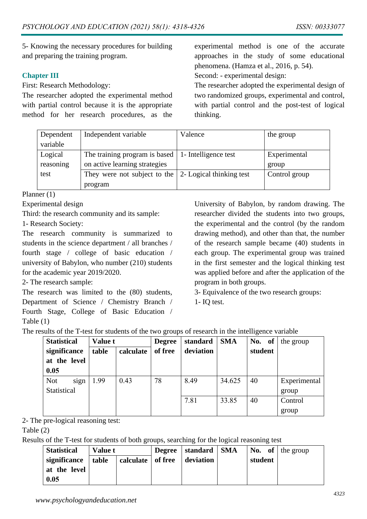5- Knowing the necessary procedures for building and preparing the training program.

# **Chapter III**

First: Research Methodology:

The researcher adopted the experimental method with partial control because it is the appropriate method for her research procedures, as the

experimental method is one of the accurate approaches in the study of some educational phenomena. (Hamza et al., 2016, p. 54).

Second: - experimental design:

The researcher adopted the experimental design of two randomized groups, experimental and control, with partial control and the post-test of logical thinking.

| Dependent | Independent variable                                          | Valence | the group     |
|-----------|---------------------------------------------------------------|---------|---------------|
| variable  |                                                               |         |               |
| Logical   | The training program is based $\vert$ 1- Intelligence test    |         | Experimental  |
| reasoning | on active learning strategies                                 |         | group         |
| test      | They were not subject to the $\vert$ 2- Logical thinking test |         | Control group |
|           | program                                                       |         |               |

Planner (1)

Experimental design

Third: the research community and its sample:

1- Research Society:

The research community is summarized to students in the science department / all branches / fourth stage / college of basic education / university of Babylon, who number (210) students for the academic year 2019/2020.

2- The research sample:

The research was limited to the (80) students, Department of Science / Chemistry Branch / Fourth Stage, College of Basic Education / Table (1)

University of Babylon, by random drawing. The researcher divided the students into two groups, the experimental and the control (by the random drawing method), and other than that, the number of the research sample became (40) students in each group. The experimental group was trained in the first semester and the logical thinking test was applied before and after the application of the program in both groups.

3- Equivalence of the two research groups:

1- IQ test.

| <b>Statistical</b> | <b>Value t</b> |           | <b>Degree</b> | standard  | <b>SMA</b> | No. of  | the group    |
|--------------------|----------------|-----------|---------------|-----------|------------|---------|--------------|
| significance       | table          | calculate | of free       | deviation |            | student |              |
| at the level       |                |           |               |           |            |         |              |
| 0.05               |                |           |               |           |            |         |              |
| <b>Not</b><br>sign | 1.99           | 0.43      | 78            | 8.49      | 34.625     | 40      | Experimental |
| Statistical        |                |           |               |           |            |         | group        |
|                    |                |           |               | 7.81      | 33.85      | 40      | Control      |
|                    |                |           |               |           |            |         | group        |

2- The pre-logical reasoning test:

## Table (2)

Results of the T-test for students of both groups, searching for the logical reasoning test

| <b>Statistical</b> | <b>Value t</b> |                     | Degree   standard   SMA |         | <b>No.</b> of the group |
|--------------------|----------------|---------------------|-------------------------|---------|-------------------------|
| significance       | table          | calculate   of free | deviation               | student |                         |
| at the level       |                |                     |                         |         |                         |
| 0.05               |                |                     |                         |         |                         |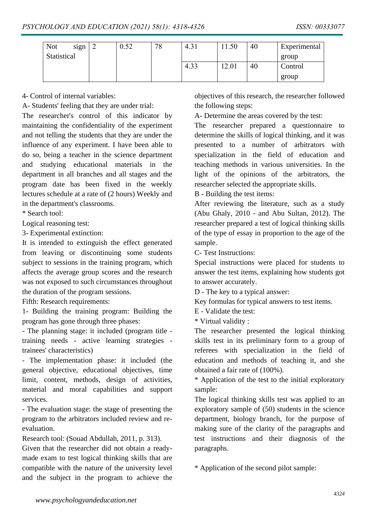| <b>Not</b>  | sign | 0.52 | 78 | 4.3 <sub>1</sub> | 1.50  | 40 | Experimental |
|-------------|------|------|----|------------------|-------|----|--------------|
| Statistical |      |      |    |                  |       |    | group        |
|             |      |      |    | 4.33             | 12.01 | 40 | Control      |
|             |      |      |    |                  |       |    | group        |

4- Control of internal variables:

A- Students' feeling that they are under trial:

The researcher's control of this indicator by maintaining the confidentiality of the experiment and not telling the students that they are under the influence of any experiment. I have been able to do so, being a teacher in the science department and studying educational materials in the department in all branches and all stages and the program date has been fixed in the weekly lectures schedule at a rate of (2 hours) Weekly and in the department's classrooms.

\* Search tool:

Logical reasoning test:

3- Experimental extinction:

It is intended to extinguish the effect generated from leaving or discontinuing some students subject to sessions in the training program, which affects the average group scores and the research was not exposed to such circumstances throughout the duration of the program sessions.

Fifth: Research requirements:

1- Building the training program: Building the program has gone through three phases:

- The planning stage: it included (program title training needs - active learning strategies trainees' characteristics)

- The implementation phase: it included (the general objective, educational objectives, time limit, content, methods, design of activities, material and moral capabilities and support services.

- The evaluation stage: the stage of presenting the program to the arbitrators included review and reevaluation.

Research tool: (Souad Abdullah, 2011, p. 313).

Given that the researcher did not obtain a readymade exam to test logical thinking skills that are compatible with the nature of the university level and the subject in the program to achieve the objectives of this research, the researcher followed the following steps:

A- Determine the areas covered by the test:

The researcher prepared a questionnaire to determine the skills of logical thinking, and it was presented to a number of arbitrators with specialization in the field of education and teaching methods in various universities. In the light of the opinions of the arbitrators, the researcher selected the appropriate skills.

B - Building the test items:

After reviewing the literature, such as a study (Abu Ghaly, 2010 - and Abu Sultan, 2012). The researcher prepared a test of logical thinking skills of the type of essay in proportion to the age of the sample.

C- Test Instructions:

Special instructions were placed for students to answer the test items, explaining how students got to answer accurately.

D - The key to a typical answer:

Key formulas for typical answers to test items.

E - Validate the test:

\* Virtual validity :

The researcher presented the logical thinking skills test in its preliminary form to a group of referees with specialization in the field of education and methods of teaching it, and she obtained a fair rate of (100%).

\* Application of the test to the initial exploratory sample:

The logical thinking skills test was applied to an exploratory sample of (50) students in the science department, biology branch, for the purpose of making sure of the clarity of the paragraphs and test instructions and their diagnosis of the paragraphs.

\* Application of the second pilot sample: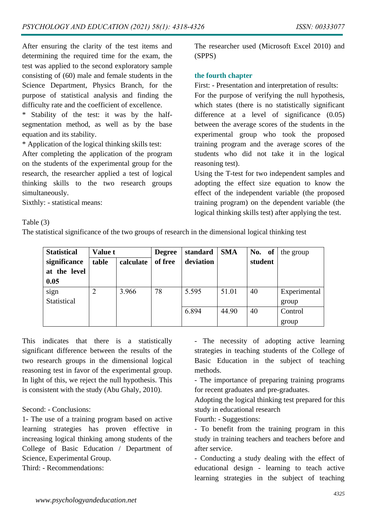After ensuring the clarity of the test items and determining the required time for the exam, the test was applied to the second exploratory sample consisting of (60) male and female students in the Science Department, Physics Branch, for the purpose of statistical analysis and finding the difficulty rate and the coefficient of excellence.

\* Stability of the test: it was by the halfsegmentation method, as well as by the base equation and its stability.

\* Application of the logical thinking skills test:

After completing the application of the program on the students of the experimental group for the research, the researcher applied a test of logical thinking skills to the two research groups simultaneously.

The researcher used (Microsoft Excel 2010) and (SPPS)

# **the fourth chapter**

First: - Presentation and interpretation of results:

For the purpose of verifying the null hypothesis, which states (there is no statistically significant difference at a level of significance  $(0.05)$ between the average scores of the students in the experimental group who took the proposed training program and the average scores of the students who did not take it in the logical reasoning test).

Using the T-test for two independent samples and adopting the effect size equation to know the effect of the independent variable (the proposed training program) on the dependent variable (the logical thinking skills test) after applying the test.

Sixthly: - statistical means:

# Table (3)

The statistical significance of the two groups of research in the dimensional logical thinking test

| <b>Statistical</b> | <b>Value t</b> |           | <b>Degree</b> | standard  | <b>SMA</b> | No. of  | the group    |
|--------------------|----------------|-----------|---------------|-----------|------------|---------|--------------|
| significance       | table          | calculate | of free       | deviation |            | student |              |
| at the level       |                |           |               |           |            |         |              |
| 0.05               |                |           |               |           |            |         |              |
| sign               |                | 3.966     | 78            | 5.595     | 51.01      | 40      | Experimental |
| <b>Statistical</b> |                |           |               |           |            |         | group        |
|                    |                |           |               | 6.894     | 44.90      | 40      | Control      |
|                    |                |           |               |           |            |         | group        |

This indicates that there is a statistically significant difference between the results of the two research groups in the dimensional logical reasoning test in favor of the experimental group. In light of this, we reject the null hypothesis. This is consistent with the study (Abu Ghaly, 2010).

Second: - Conclusions:

1- The use of a training program based on active learning strategies has proven effective in increasing logical thinking among students of the College of Basic Education / Department of Science, Experimental Group.

Third: - Recommendations:

- The necessity of adopting active learning strategies in teaching students of the College of Basic Education in the subject of teaching methods.

- The importance of preparing training programs for recent graduates and pre-graduates.

Adopting the logical thinking test prepared for this study in educational research

Fourth: - Suggestions:

- To benefit from the training program in this study in training teachers and teachers before and after service.

- Conducting a study dealing with the effect of educational design - learning to teach active learning strategies in the subject of teaching